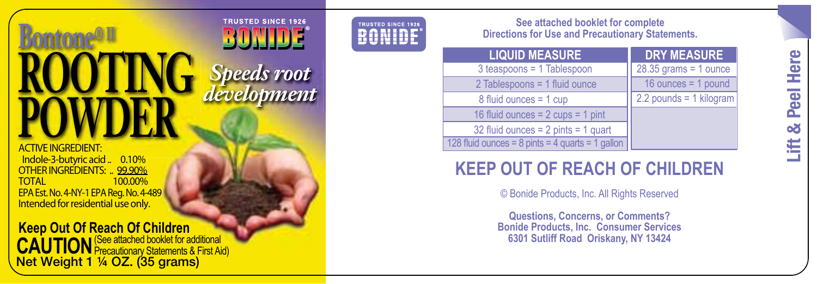# Bontone® II<br>**ROOTI**<br>POWDE **ROOTING**  *Speeds root* **POWDER**

ACTIVE INGREDIENT: Indole-3-butyric acid .. 0.10% OTHER INGREDIENTS: .. 99.90%<br>TOTAL 100.00% 100.00% EPA Est. No. 4-NY-1 EPA Reg. No. 4-489 Intended for residential use only.

**Keep Out Of Reach Of Children CAUTION** (See attached booklet for additional Net Weight 1 ¼ OZ. (35 grams)

**TRUSTED SINCE 1926 BONIDE®** 

*development Speeds development <sup>p</sup>*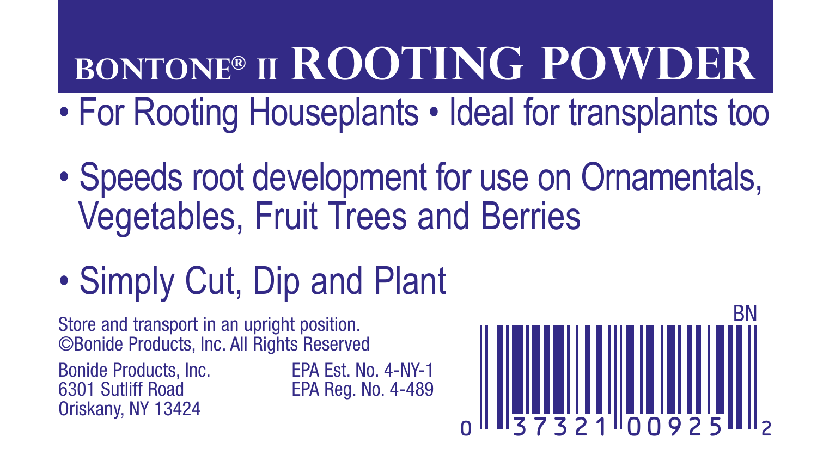# **BONTONE® II ROOTING POWDER**

- For Rooting Houseplants Ideal for transplants too
- Speeds root development for use on Ornamentals, Vegetables, Fruit Trees and Berries
- Simply Cut, Dip and Plant

Store and transport in an upright position. ©Bonide Products, Inc. All Rights Reserved

Bonide Products, Inc. EPA Est. No. 4-NY-1<br>6301 Sutliff Road EPA Reg. No. 4-489 Oriskany, NY 13424

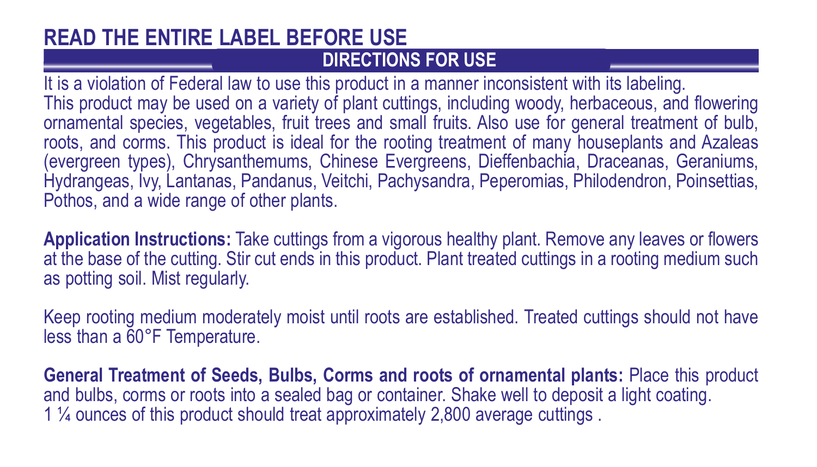#### **DIRECTIONS FOR USE READ THE ENTIRE LABEL BEFORE USE**

It is a violation of Federal law to use this product in a manner inconsistent with its labeling. This product may be used on a variety of plant cuttings, including woody, herbaceous, and flowering ornamental species, vegetables, fruit trees and small fruits. Also use for general treatment of bulb, roots, and corms. This product is ideal for the rooting treatment of many houseplants and Azaleas (evergreen types), Chrysanthemums, Chinese Evergreens, Dieffenbachia, Draceanas, Geraniums, Hydrangeas, Ivy, Lantanas, Pandanus, Veitchi, Pachysandra, Peperomias, Philodendron, Poinsettias, Pothos, and a wide range of other plants.

**Application Instructions:** Take cuttings from a vigorous healthy plant. Remove any leaves or flowers at the base of the cutting. Stir cut ends in this product. Plant treated cuttings in a rooting medium such as potting soil. Mist regularly.

Keep rooting medium moderately moist until roots are established. Treated cuttings should not have less than a 60°F Temperature.

**General Treatment of Seeds, Bulbs, Corms and roots of ornamental plants:** Place this product and bulbs, corms or roots into a sealed bag or container. Shake well to deposit a light coating. 1 ¼ ounces of this product should treat approximately 2,800 average cuttings .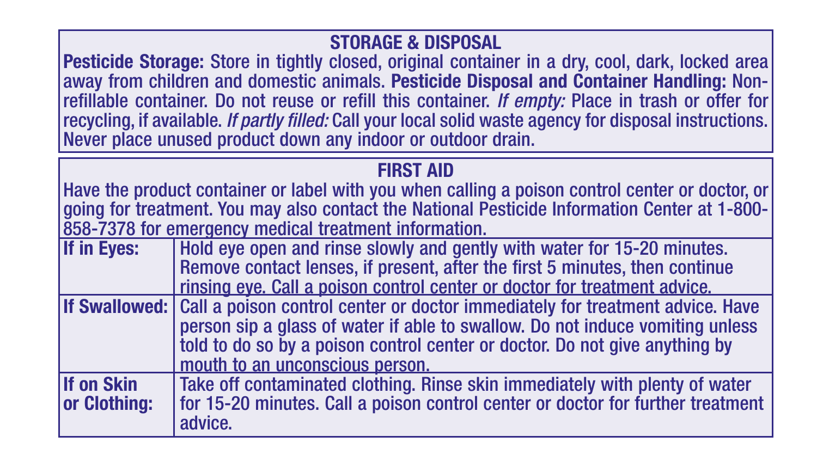## **STORAGE & DISPOSAL**

Pesticide Storage: Store in tightly closed, original container in a dry, cool, dark, locked area away from children and domestic animals. **Pesticide Disposal and Container Handling:** Nonrefillable container. Do not reuse or refill this container. *If empty:* Place in trash or offer for recycling, if available. *If partly filled:* Call your local solid waste agency for disposal instructions. Never place unused product down any indoor or outdoor drain.

### **FIRST AID**

Have the product container or label with you when calling a poison control center or doctor, or going for treatment. You may also contact the National Pesticide Information Center at 1-800- 858-7378 for emergency medical treatment information.<br>If in Eves: Hold eve open and rinse slowly and genti

**If Hold eye open and rinse slowly and gently with water for 15-20 minutes.** Remove contact lenses, if present, after the first 5 minutes, then continue rinsing eye. Call a poison control center or doctor for treatment advice.

**If Swallowed:** Call a poison control center or doctor immediately for treatment advice. Have person sip a glass of water if able to swallow. Do not induce vomiting unless told to do so by a poison control center or doctor. Do not give anything by mouth to an unconscious person.

**If on Skin** Take off contaminated clothing. Rinse skin immediately with plenty of water<br>**If or 15-18** or 15-20 minutes. Call a poison control center or doctor for further treatmen for 15-20 minutes. Call a poison control center or doctor for further treatment advice.